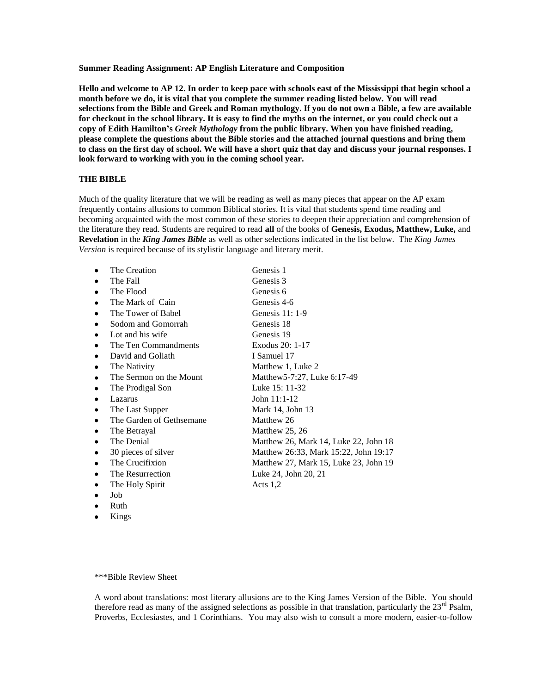**Summer Reading Assignment: AP English Literature and Composition**

**Hello and welcome to AP 12. In order to keep pace with schools east of the Mississippi that begin school a month before we do, it is vital that you complete the summer reading listed below. You will read selections from the Bible and Greek and Roman mythology. If you do not own a Bible, a few are available for checkout in the school library. It is easy to find the myths on the internet, or you could check out a copy of Edith Hamilton's** *Greek Mythology* **from the public library. When you have finished reading, please complete the questions about the Bible stories and the attached journal questions and bring them to class on the first day of school. We will have a short quiz that day and discuss your journal responses. I look forward to working with you in the coming school year.**

## **THE BIBLE**

Much of the quality literature that we will be reading as well as many pieces that appear on the AP exam frequently contains allusions to common Biblical stories. It is vital that students spend time reading and becoming acquainted with the most common of these stories to deepen their appreciation and comprehension of the literature they read. Students are required to read **all** of the books of **Genesis, Exodus, Matthew, Luke,** and **Revelation** in the *King James Bible* as well as other selections indicated in the list below. The *King James Version* is required because of its stylistic language and literary merit.

|           | The Creation             | Genesis 1                             |
|-----------|--------------------------|---------------------------------------|
|           | The Fall                 | Genesis 3                             |
|           | The Flood                | Genesis 6                             |
| $\bullet$ | The Mark of Cain         | Genesis 4-6                           |
| ٠         | The Tower of Babel       | Genesis $11:1-9$                      |
| $\bullet$ | Sodom and Gomorrah       | Genesis 18                            |
| ٠         | Lot and his wife         | Genesis 19                            |
| $\bullet$ | The Ten Commandments     | Exodus 20: 1-17                       |
| ٠         | David and Goliath        | I Samuel 17                           |
| ٠         | The Nativity             | Matthew 1, Luke 2                     |
| $\bullet$ | The Sermon on the Mount  | Matthew 5-7:27, Luke 6:17-49          |
| ٠         | The Prodigal Son         | Luke 15: 11-32                        |
| ٠         | Lazarus                  | John $11:1-12$                        |
| ٠         | The Last Supper          | Mark 14, John 13                      |
| ٠         | The Garden of Gethsemane | Matthew 26                            |
| $\bullet$ | The Betrayal             | Matthew 25, 26                        |
| $\bullet$ | The Denial               | Matthew 26, Mark 14, Luke 22, John 18 |
|           | 30 pieces of silver      | Matthew 26:33, Mark 15:22, John 19:17 |
| $\bullet$ | The Crucifixion          | Matthew 27, Mark 15, Luke 23, John 19 |
| ٠         | The Resurrection         | Luke 24, John 20, 21                  |
|           | The Holy Spirit          | Acts $1,2$                            |
|           | Job                      |                                       |

\*\*\*Bible Review Sheet

Ruth Kings

A word about translations: most literary allusions are to the King James Version of the Bible. You should therefore read as many of the assigned selections as possible in that translation, particularly the  $23<sup>rd</sup>$  Psalm, Proverbs, Ecclesiastes, and 1 Corinthians. You may also wish to consult a more modern, easier-to-follow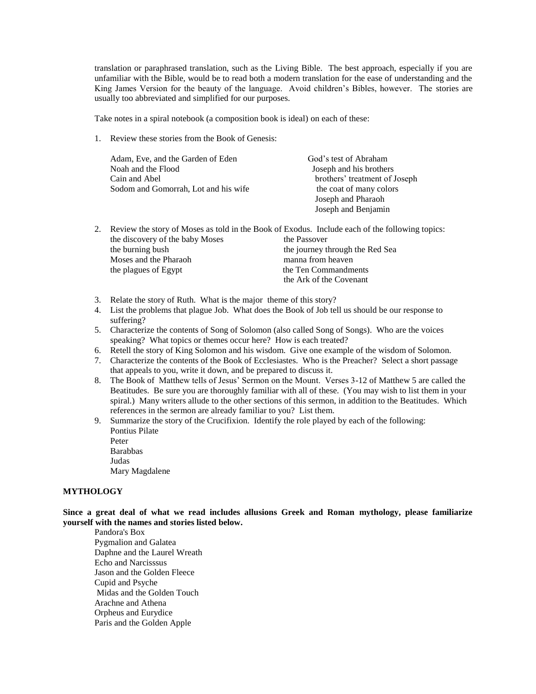translation or paraphrased translation, such as the Living Bible. The best approach, especially if you are unfamiliar with the Bible, would be to read both a modern translation for the ease of understanding and the King James Version for the beauty of the language. Avoid children's Bibles, however. The stories are usually too abbreviated and simplified for our purposes.

Take notes in a spiral notebook (a composition book is ideal) on each of these:

1. Review these stories from the Book of Genesis:

| Adam, Eve, and the Garden of Eden    | God's test of Abraham         |
|--------------------------------------|-------------------------------|
| Noah and the Flood                   | Joseph and his brothers       |
| Cain and Abel                        | brothers' treatment of Joseph |
| Sodom and Gomorrah, Lot and his wife | the coat of many colors       |
|                                      | Joseph and Pharaoh            |
|                                      | Joseph and Benjamin           |
|                                      |                               |

|  | 2. Review the story of Moses as told in the Book of Exodus. Include each of the following topics: |                                 |
|--|---------------------------------------------------------------------------------------------------|---------------------------------|
|  | the discovery of the baby Moses                                                                   | the Passover                    |
|  | the burning bush                                                                                  | the journey through the Red Sea |
|  | Moses and the Pharaoh                                                                             | manna from heaven               |
|  | the plagues of Egypt                                                                              | the Ten Commandments            |
|  |                                                                                                   | the Ark of the Covenant         |

- 3. Relate the story of Ruth. What is the major theme of this story?
- 4. List the problems that plague Job. What does the Book of Job tell us should be our response to suffering?
- 5. Characterize the contents of Song of Solomon (also called Song of Songs). Who are the voices speaking? What topics or themes occur here? How is each treated?
- 6. Retell the story of King Solomon and his wisdom. Give one example of the wisdom of Solomon.
- 7. Characterize the contents of the Book of Ecclesiastes. Who is the Preacher? Select a short passage that appeals to you, write it down, and be prepared to discuss it.
- 8. The Book of Matthew tells of Jesus' Sermon on the Mount. Verses 3-12 of Matthew 5 are called the Beatitudes. Be sure you are thoroughly familiar with all of these. (You may wish to list them in your spiral.) Many writers allude to the other sections of this sermon, in addition to the Beatitudes. Which references in the sermon are already familiar to you? List them.
- 9. Summarize the story of the Crucifixion. Identify the role played by each of the following: Pontius Pilate Peter
	- Barabbas Judas Mary Magdalene

## **MYTHOLOGY**

**Since a great deal of what we read includes allusions Greek and Roman mythology, please familiarize yourself with the names and stories listed below.**

Pandora's Box Pygmalion and Galatea Daphne and the Laurel Wreath Echo and Narcisssus Jason and the Golden Fleece Cupid and Psyche Midas and the Golden Touch Arachne and Athena Orpheus and Eurydice Paris and the Golden Apple